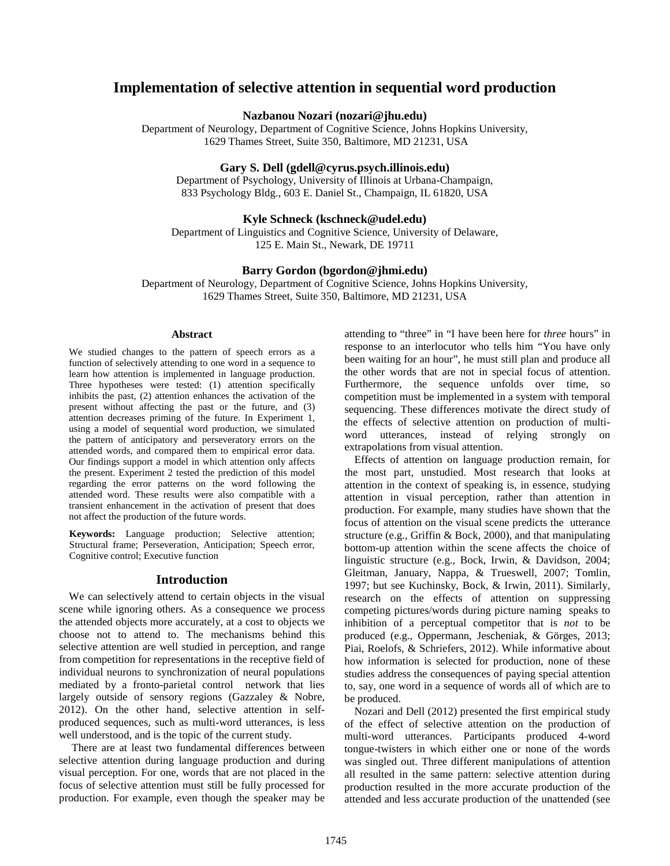# **Implementation of selective attention in sequential word production**

**Nazbanou Nozari (nozari@jhu.edu)**

Department of Neurology, Department of Cognitive Science, Johns Hopkins University, 1629 Thames Street, Suite 350, Baltimore, MD 21231, USA

**Gary S. Dell (gdell@cyrus.psych.illinois.edu)**

Department of Psychology, University of Illinois at Urbana-Champaign, 833 Psychology Bldg., 603 E. Daniel St., Champaign, IL 61820, USA

### **Kyle Schneck (kschneck@udel.edu)**

Department of Linguistics and Cognitive Science, University of Delaware, 125 E. Main St., Newark, DE 19711

# **Barry Gordon (bgordon@jhmi.edu)**

Department of Neurology, Department of Cognitive Science, Johns Hopkins University, 1629 Thames Street, Suite 350, Baltimore, MD 21231, USA

#### **Abstract**

We studied changes to the pattern of speech errors as a function of selectively attending to one word in a sequence to learn how attention is implemented in language production. Three hypotheses were tested: (1) attention specifically inhibits the past, (2) attention enhances the activation of the present without affecting the past or the future, and (3) attention decreases priming of the future. In Experiment 1, using a model of sequential word production, we simulated the pattern of anticipatory and perseveratory errors on the attended words, and compared them to empirical error data. Our findings support a model in which attention only affects the present. Experiment 2 tested the prediction of this model regarding the error patterns on the word following the attended word. These results were also compatible with a transient enhancement in the activation of present that does not affect the production of the future words.

**Keywords:** Language production; Selective attention; Structural frame; Perseveration, Anticipation; Speech error, Cognitive control; Executive function

#### **Introduction**

We can selectively attend to certain objects in the visual scene while ignoring others. As a consequence we process the attended objects more accurately, at a cost to objects we choose not to attend to. The mechanisms behind this selective attention are well studied in perception, and range from competition for representations in the receptive field of individual neurons to synchronization of neural populations mediated by a fronto-parietal control network that lies largely outside of sensory regions (Gazzaley & Nobre, 2012). On the other hand, selective attention in selfproduced sequences, such as multi-word utterances, is less well understood, and is the topic of the current study.

There are at least two fundamental differences between selective attention during language production and during visual perception. For one, words that are not placed in the focus of selective attention must still be fully processed for production. For example, even though the speaker may be

attending to "three" in "I have been here for *three* hours" in response to an interlocutor who tells him "You have only been waiting for an hour", he must still plan and produce all the other words that are not in special focus of attention. Furthermore, the sequence unfolds over time, so competition must be implemented in a system with temporal sequencing. These differences motivate the direct study of the effects of selective attention on production of multiword utterances, instead of relying strongly on extrapolations from visual attention.

Effects of attention on language production remain, for the most part, unstudied. Most research that looks at attention in the context of speaking is, in essence, studying attention in visual perception, rather than attention in production. For example, many studies have shown that the focus of attention on the visual scene predicts the utterance structure (e.g., Griffin & Bock, 2000), and that manipulating bottom-up attention within the scene affects the choice of linguistic structure (e.g., Bock, Irwin, & Davidson, 2004; Gleitman, January, Nappa, & Trueswell, 2007; Tomlin, 1997; but see Kuchinsky, Bock, & Irwin, 2011). Similarly, research on the effects of attention on suppressing competing pictures/words during picture naming speaks to inhibition of a perceptual competitor that is *not* to be produced (e.g., Oppermann, Jescheniak, & Görges, 2013; Piai, Roelofs, & Schriefers, 2012). While informative about how information is selected for production, none of these studies address the consequences of paying special attention to, say, one word in a sequence of words all of which are to be produced.

Nozari and Dell (2012) presented the first empirical study of the effect of selective attention on the production of multi-word utterances. Participants produced 4-word tongue-twisters in which either one or none of the words was singled out. Three different manipulations of attention all resulted in the same pattern: selective attention during production resulted in the more accurate production of the attended and less accurate production of the unattended (see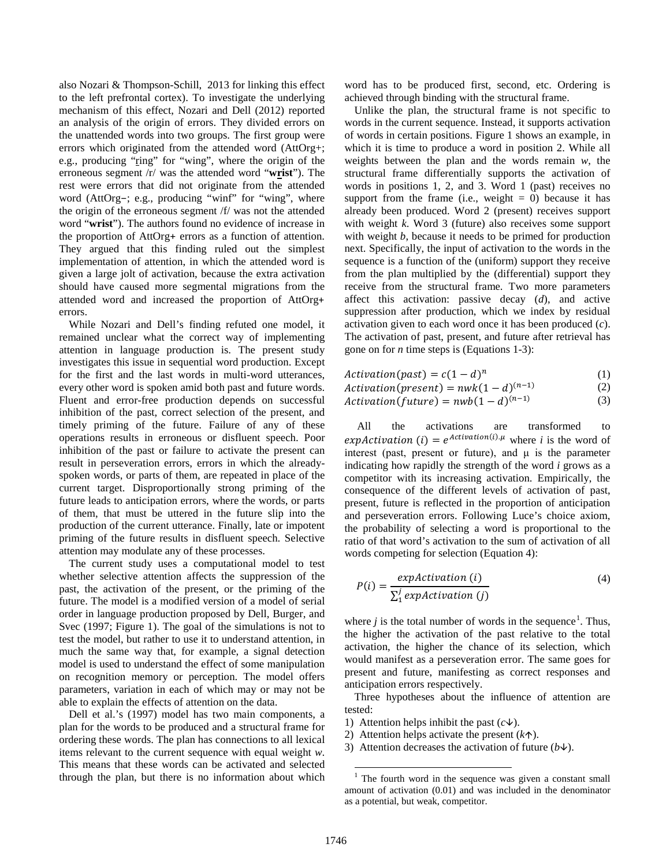also Nozari & Thompson-Schill, 2013 for linking this effect to the left prefrontal cortex). To investigate the underlying mechanism of this effect, Nozari and Dell (2012) reported an analysis of the origin of errors. They divided errors on the unattended words into two groups. The first group were errors which originated from the attended word (AttOrg+; e.g., producing "ring" for "wing", where the origin of the erroneous segment /r/ was the attended word "**wrist**"). The rest were errors that did not originate from the attended word (AttOrg−; e.g., producing "winf" for "wing", where the origin of the erroneous segment /f/ was not the attended word "**wrist**"). The authors found no evidence of increase in the proportion of AttOrg+ errors as a function of attention. They argued that this finding ruled out the simplest implementation of attention, in which the attended word is given a large jolt of activation, because the extra activation should have caused more segmental migrations from the attended word and increased the proportion of AttOrg+ errors.

While Nozari and Dell's finding refuted one model, it remained unclear what the correct way of implementing attention in language production is. The present study investigates this issue in sequential word production. Except for the first and the last words in multi-word utterances, every other word is spoken amid both past and future words. Fluent and error-free production depends on successful inhibition of the past, correct selection of the present, and timely priming of the future. Failure of any of these operations results in erroneous or disfluent speech. Poor inhibition of the past or failure to activate the present can result in perseveration errors, errors in which the alreadyspoken words, or parts of them, are repeated in place of the current target. Disproportionally strong priming of the future leads to anticipation errors, where the words, or parts of them, that must be uttered in the future slip into the production of the current utterance. Finally, late or impotent priming of the future results in disfluent speech. Selective attention may modulate any of these processes.

The current study uses a computational model to test whether selective attention affects the suppression of the past, the activation of the present, or the priming of the future. The model is a modified version of a model of serial order in language production proposed by Dell, Burger, and Svec (1997; Figure 1). The goal of the simulations is not to test the model, but rather to use it to understand attention, in much the same way that, for example, a signal detection model is used to understand the effect of some manipulation on recognition memory or perception. The model offers parameters, variation in each of which may or may not be able to explain the effects of attention on the data.

<span id="page-1-0"></span>Dell et al.'s (1997) model has two main components, a plan for the words to be produced and a structural frame for ordering these words. The plan has connections to all lexical items relevant to the current sequence with equal weight *w*. This means that these words can be activated and selected through the plan, but there is no information about which

word has to be produced first, second, etc. Ordering is achieved through binding with the structural frame.

Unlike the plan, the structural frame is not specific to words in the current sequence. Instead, it supports activation of words in certain positions. Figure 1 shows an example, in which it is time to produce a word in position 2. While all weights between the plan and the words remain *w*, the structural frame differentially supports the activation of words in positions 1, 2, and 3. Word 1 (past) receives no support from the frame (i.e., weight  $= 0$ ) because it has already been produced. Word 2 (present) receives support with weight *k*. Word 3 (future) also receives some support with weight *b*, because it needs to be primed for production next. Specifically, the input of activation to the words in the sequence is a function of the (uniform) support they receive from the plan multiplied by the (differential) support they receive from the structural frame. Two more parameters affect this activation: passive decay (*d*), and active suppression after production, which we index by residual activation given to each word once it has been produced (*c*). The activation of past, present, and future after retrieval has gone on for *n* time steps is (Equations 1-3):

| $Action(past) = c(1-d)^n$            | (1) |
|--------------------------------------|-----|
| $Action(present) = nwk(1-d)^{(n-1)}$ | (2) |

$$
Action(future) = nwb(1-d)^{(n-1)}
$$
 (3)

All the activations are transformed to expActivation (*i*) =  $e^{Action(i) \cdot \mu}$  where *i* is the word of interest (past, present or future), and μ is the parameter indicating how rapidly the strength of the word *i* grows as a competitor with its increasing activation. Empirically, the consequence of the different levels of activation of past, present, future is reflected in the proportion of anticipation and perseveration errors. Following Luce's choice axiom, the probability of selecting a word is proportional to the ratio of that word's activation to the sum of activation of all words competing for selection (Equation 4):

$$
P(i) = \frac{expAction(i)}{\sum_{i}^{j}expAction(j)}
$$
(4)

where  $j$  is the total number of words in the sequence<sup>[1](#page-1-0)</sup>. Thus, the higher the activation of the past relative to the total activation, the higher the chance of its selection, which would manifest as a perseveration error. The same goes for present and future, manifesting as correct responses and anticipation errors respectively.

Three hypotheses about the influence of attention are tested:

- 1) Attention helps inhibit the past  $(c\psi)$ .
- 2) Attention helps activate the present  $(k \uparrow)$ .
- 3) Attention decreases the activation of future  $(b\psi)$ .

 $\overline{a}$ 

 $1$  The fourth word in the sequence was given a constant small amount of activation (0.01) and was included in the denominator as a potential, but weak, competitor.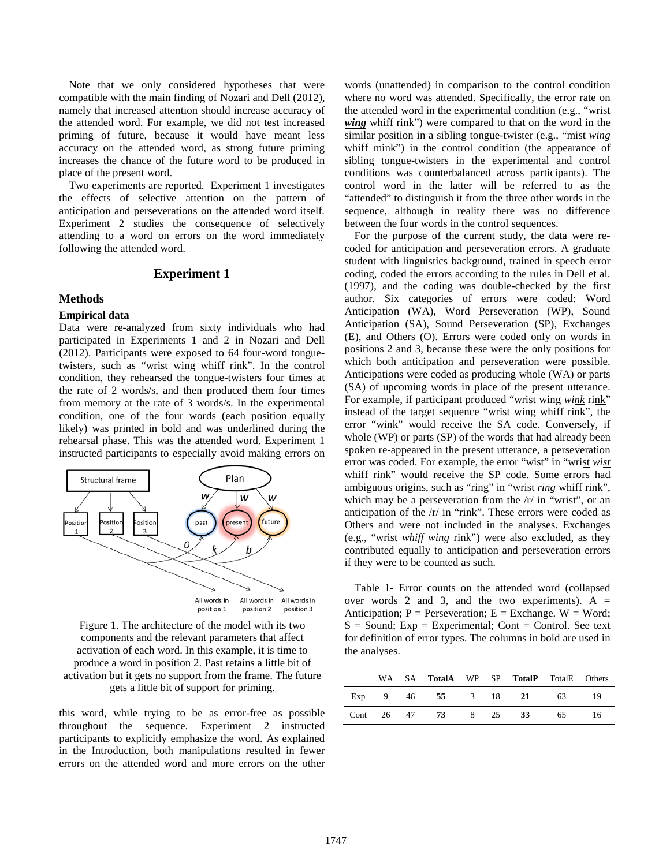Note that we only considered hypotheses that were compatible with the main finding of Nozari and Dell (2012), namely that increased attention should increase accuracy of the attended word. For example, we did not test increased priming of future, because it would have meant less accuracy on the attended word, as strong future priming increases the chance of the future word to be produced in place of the present word.

Two experiments are reported. Experiment 1 investigates the effects of selective attention on the pattern of anticipation and perseverations on the attended word itself. Experiment 2 studies the consequence of selectively attending to a word on errors on the word immediately following the attended word.

# **Experiment 1**

#### **Methods**

### **Empirical data**

Data were re-analyzed from sixty individuals who had participated in Experiments 1 and 2 in Nozari and Dell (2012). Participants were exposed to 64 four-word tonguetwisters, such as "wrist wing whiff rink". In the control condition, they rehearsed the tongue-twisters four times at the rate of 2 words/s, and then produced them four times from memory at the rate of 3 words/s. In the experimental condition, one of the four words (each position equally likely) was printed in bold and was underlined during the rehearsal phase. This was the attended word. Experiment 1 instructed participants to especially avoid making errors on



Figure 1. The architecture of the model with its two components and the relevant parameters that affect activation of each word. In this example, it is time to produce a word in position 2. Past retains a little bit of activation but it gets no support from the frame. The future gets a little bit of support for priming.

this word, while trying to be as error-free as possible throughout the sequence. Experiment 2 instructed participants to explicitly emphasize the word. As explained in the Introduction, both manipulations resulted in fewer errors on the attended word and more errors on the other words (unattended) in comparison to the control condition where no word was attended. Specifically, the error rate on the attended word in the experimental condition (e.g., "wrist *wing* whiff rink") were compared to that on the word in the similar position in a sibling tongue-twister (e.g., "mist *wing* whiff mink") in the control condition (the appearance of sibling tongue-twisters in the experimental and control conditions was counterbalanced across participants). The control word in the latter will be referred to as the "attended" to distinguish it from the three other words in the sequence, although in reality there was no difference between the four words in the control sequences.

For the purpose of the current study, the data were recoded for anticipation and perseveration errors. A graduate student with linguistics background, trained in speech error coding, coded the errors according to the rules in Dell et al. (1997), and the coding was double-checked by the first author. Six categories of errors were coded: Word Anticipation (WA), Word Perseveration (WP), Sound Anticipation (SA), Sound Perseveration (SP), Exchanges (E), and Others (O). Errors were coded only on words in positions 2 and 3, because these were the only positions for which both anticipation and perseveration were possible. Anticipations were coded as producing whole (WA) or parts (SA) of upcoming words in place of the present utterance. For example, if participant produced "wrist wing *wink* rink" instead of the target sequence "wrist wing whiff rink", the error "wink" would receive the SA code. Conversely, if whole (WP) or parts (SP) of the words that had already been spoken re-appeared in the present utterance, a perseveration error was coded. For example, the error "wist" in "wrist *wist* whiff rink" would receive the SP code. Some errors had ambiguous origins, such as "ring" in "wrist *ring* whiff rink", which may be a perseveration from the  $/r/$  in "wrist", or an anticipation of the /r/ in "rink". These errors were coded as Others and were not included in the analyses. Exchanges (e.g., "wrist *whiff wing* rink") were also excluded, as they contributed equally to anticipation and perseveration errors if they were to be counted as such.

Table 1- Error counts on the attended word (collapsed over words 2 and 3, and the two experiments).  $A =$ Anticipation;  $P =$  Perseveration;  $E =$  Exchange.  $W =$  Word;  $S =$  Sound; Exp = Experimental; Cont = Control. See text for definition of error types. The columns in bold are used in the analyses.

|     |  | WA SA TotalA WP SP TotalP TotalE Others |  |    |     |
|-----|--|-----------------------------------------|--|----|-----|
| Exp |  | 9 46 55 3 18 21 63                      |  |    |     |
|     |  | Cont 26 47 73 8 25 33                   |  | 65 | -16 |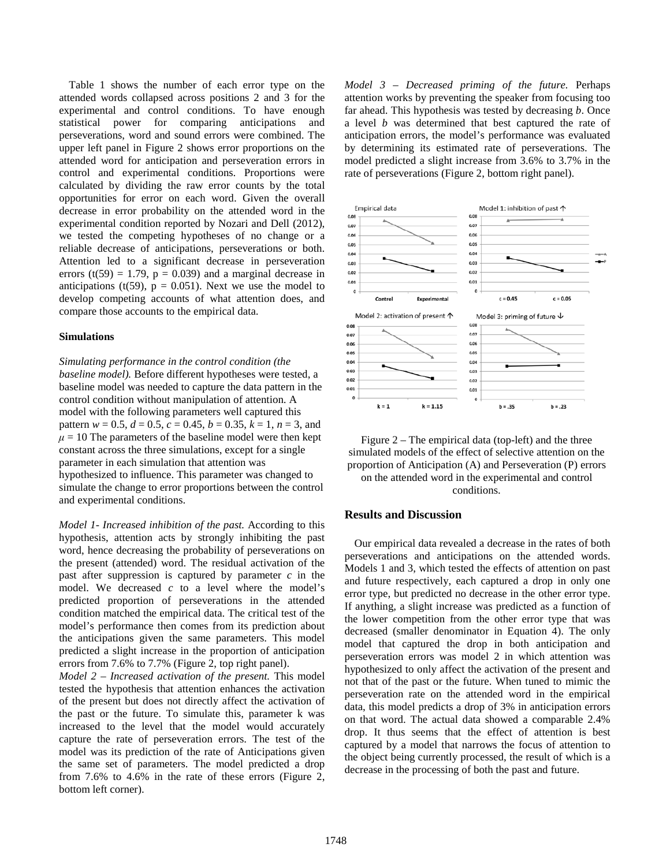Table 1 shows the number of each error type on the attended words collapsed across positions 2 and 3 for the experimental and control conditions. To have enough statistical power for comparing anticipations and perseverations, word and sound errors were combined. The upper left panel in Figure 2 shows error proportions on the attended word for anticipation and perseveration errors in control and experimental conditions. Proportions were calculated by dividing the raw error counts by the total opportunities for error on each word. Given the overall decrease in error probability on the attended word in the experimental condition reported by Nozari and Dell (2012), we tested the competing hypotheses of no change or a reliable decrease of anticipations, perseverations or both. Attention led to a significant decrease in perseveration errors (t(59) = 1.79,  $p = 0.039$ ) and a marginal decrease in anticipations (t(59),  $p = 0.051$ ). Next we use the model to develop competing accounts of what attention does, and compare those accounts to the empirical data.

### **Simulations**

*Simulating performance in the control condition (the baseline model).* Before different hypotheses were tested, a baseline model was needed to capture the data pattern in the control condition without manipulation of attention. A model with the following parameters well captured this pattern  $w = 0.5$ ,  $d = 0.5$ ,  $c = 0.45$ ,  $b = 0.35$ ,  $k = 1$ ,  $n = 3$ , and  $\mu = 10$  The parameters of the baseline model were then kept constant across the three simulations, except for a single parameter in each simulation that attention was hypothesized to influence. This parameter was changed to simulate the change to error proportions between the control and experimental conditions.

*Model 1- Increased inhibition of the past.* According to this hypothesis, attention acts by strongly inhibiting the past word, hence decreasing the probability of perseverations on the present (attended) word. The residual activation of the past after suppression is captured by parameter *c* in the model. We decreased *c* to a level where the model's predicted proportion of perseverations in the attended condition matched the empirical data. The critical test of the model's performance then comes from its prediction about the anticipations given the same parameters. This model predicted a slight increase in the proportion of anticipation errors from 7.6% to 7.7% (Figure 2, top right panel).

*Model 2 – Increased activation of the present.* This model tested the hypothesis that attention enhances the activation of the present but does not directly affect the activation of the past or the future. To simulate this, parameter k was increased to the level that the model would accurately capture the rate of perseveration errors. The test of the model was its prediction of the rate of Anticipations given the same set of parameters. The model predicted a drop from 7.6% to 4.6% in the rate of these errors (Figure 2, bottom left corner).

*Model 3 – Decreased priming of the future.* Perhaps attention works by preventing the speaker from focusing too far ahead. This hypothesis was tested by decreasing *b*. Once a level *b* was determined that best captured the rate of anticipation errors, the model's performance was evaluated by determining its estimated rate of perseverations. The model predicted a slight increase from 3.6% to 3.7% in the rate of perseverations (Figure 2, bottom right panel).





# **Results and Discussion**

Our empirical data revealed a decrease in the rates of both perseverations and anticipations on the attended words. Models 1 and 3, which tested the effects of attention on past and future respectively, each captured a drop in only one error type, but predicted no decrease in the other error type. If anything, a slight increase was predicted as a function of the lower competition from the other error type that was decreased (smaller denominator in Equation 4). The only model that captured the drop in both anticipation and perseveration errors was model 2 in which attention was hypothesized to only affect the activation of the present and not that of the past or the future. When tuned to mimic the perseveration rate on the attended word in the empirical data, this model predicts a drop of 3% in anticipation errors on that word. The actual data showed a comparable 2.4% drop. It thus seems that the effect of attention is best captured by a model that narrows the focus of attention to the object being currently processed, the result of which is a decrease in the processing of both the past and future.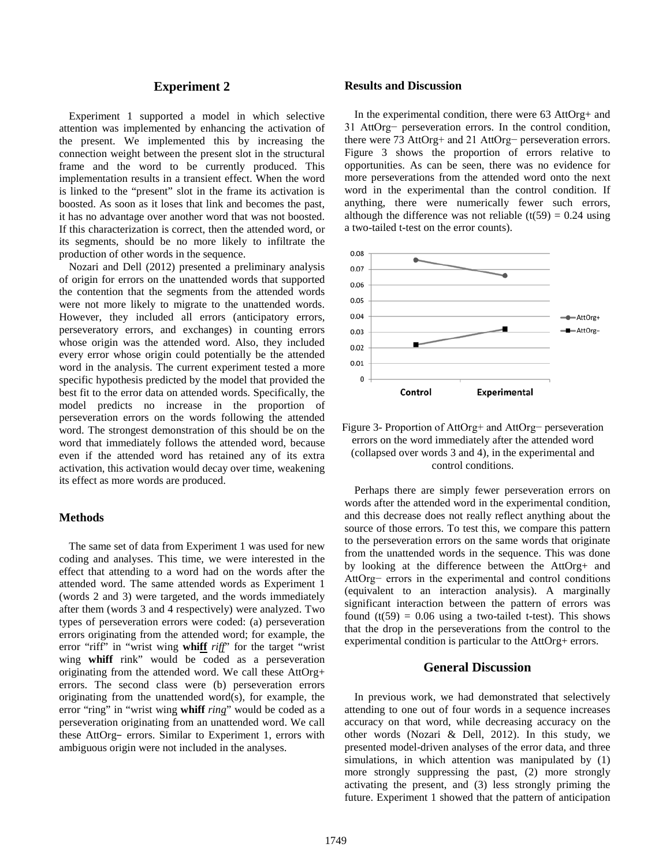# **Experiment 2**

Experiment 1 supported a model in which selective attention was implemented by enhancing the activation of the present. We implemented this by increasing the connection weight between the present slot in the structural frame and the word to be currently produced. This implementation results in a transient effect. When the word is linked to the "present" slot in the frame its activation is boosted. As soon as it loses that link and becomes the past, it has no advantage over another word that was not boosted. If this characterization is correct, then the attended word, or its segments, should be no more likely to infiltrate the production of other words in the sequence.

Nozari and Dell (2012) presented a preliminary analysis of origin for errors on the unattended words that supported the contention that the segments from the attended words were not more likely to migrate to the unattended words. However, they included all errors (anticipatory errors, perseveratory errors, and exchanges) in counting errors whose origin was the attended word. Also, they included every error whose origin could potentially be the attended word in the analysis. The current experiment tested a more specific hypothesis predicted by the model that provided the best fit to the error data on attended words. Specifically, the model predicts no increase in the proportion of perseveration errors on the words following the attended word. The strongest demonstration of this should be on the word that immediately follows the attended word, because even if the attended word has retained any of its extra activation, this activation would decay over time, weakening its effect as more words are produced.

# **Methods**

The same set of data from Experiment 1 was used for new coding and analyses. This time, we were interested in the effect that attending to a word had on the words after the attended word. The same attended words as Experiment 1 (words 2 and 3) were targeted, and the words immediately after them (words 3 and 4 respectively) were analyzed. Two types of perseveration errors were coded: (a) perseveration errors originating from the attended word; for example, the error "riff" in "wrist wing **whiff** *riff*" for the target "wrist wing **whiff** rink" would be coded as a perseveration originating from the attended word. We call these AttOrg+ errors. The second class were (b) perseveration errors originating from the unattended word(s), for example, the error "ring" in "wrist wing **whiff** *ring*" would be coded as a perseveration originating from an unattended word. We call these AttOrg− errors. Similar to Experiment 1, errors with ambiguous origin were not included in the analyses.

## **Results and Discussion**

In the experimental condition, there were 63 AttOrg+ and 31 AttOrg− perseveration errors. In the control condition, there were 73 AttOrg+ and 21 AttOrg− perseveration errors. Figure 3 shows the proportion of errors relative to opportunities. As can be seen, there was no evidence for more perseverations from the attended word onto the next word in the experimental than the control condition. If anything, there were numerically fewer such errors, although the difference was not reliable  $(t(59) = 0.24$  using a two-tailed t-test on the error counts).



# Figure 3- Proportion of AttOrg+ and AttOrg− perseveration errors on the word immediately after the attended word (collapsed over words 3 and 4), in the experimental and control conditions.

Perhaps there are simply fewer perseveration errors on words after the attended word in the experimental condition, and this decrease does not really reflect anything about the source of those errors. To test this, we compare this pattern to the perseveration errors on the same words that originate from the unattended words in the sequence. This was done by looking at the difference between the AttOrg+ and AttOrg− errors in the experimental and control conditions (equivalent to an interaction analysis). A marginally significant interaction between the pattern of errors was found  $(t(59) = 0.06$  using a two-tailed t-test). This shows that the drop in the perseverations from the control to the experimental condition is particular to the AttOrg+ errors.

# **General Discussion**

In previous work, we had demonstrated that selectively attending to one out of four words in a sequence increases accuracy on that word, while decreasing accuracy on the other words (Nozari & Dell, 2012). In this study, we presented model-driven analyses of the error data, and three simulations, in which attention was manipulated by (1) more strongly suppressing the past, (2) more strongly activating the present, and (3) less strongly priming the future. Experiment 1 showed that the pattern of anticipation